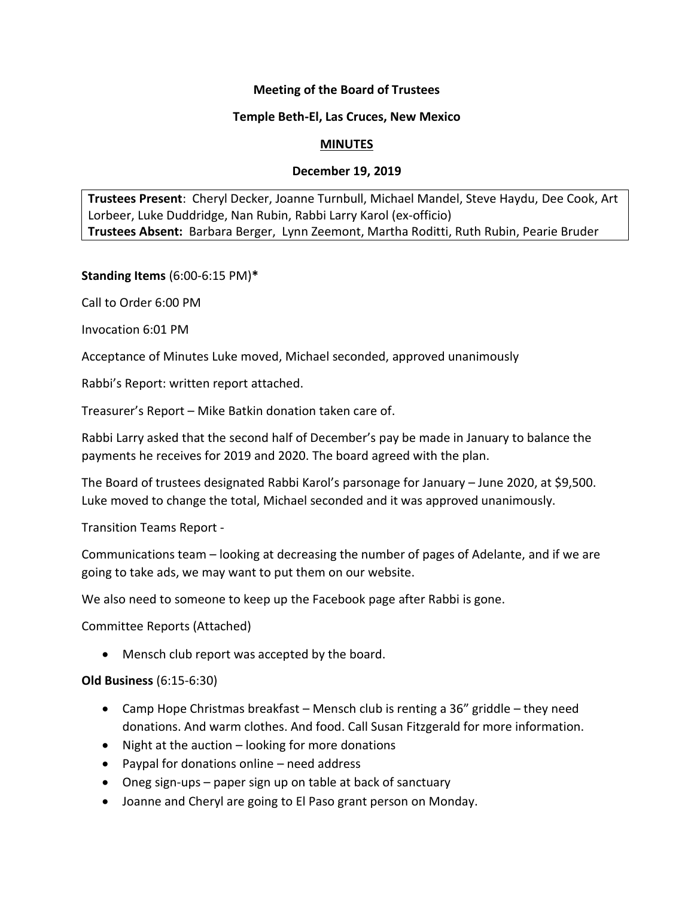# **Meeting of the Board of Trustees**

## **Temple Beth-El, Las Cruces, New Mexico**

#### **MINUTES**

## **December 19, 2019**

**Trustees Present**: Cheryl Decker, Joanne Turnbull, Michael Mandel, Steve Haydu, Dee Cook, Art Lorbeer, Luke Duddridge, Nan Rubin, Rabbi Larry Karol (ex-officio) **Trustees Absent:** Barbara Berger, Lynn Zeemont, Martha Roditti, Ruth Rubin, Pearie Bruder

**Standing Items** (6:00-6:15 PM)**\***

Call to Order 6:00 PM

Invocation 6:01 PM

Acceptance of Minutes Luke moved, Michael seconded, approved unanimously

Rabbi's Report: written report attached.

Treasurer's Report – Mike Batkin donation taken care of.

Rabbi Larry asked that the second half of December's pay be made in January to balance the payments he receives for 2019 and 2020. The board agreed with the plan.

The Board of trustees designated Rabbi Karol's parsonage for January – June 2020, at \$9,500. Luke moved to change the total, Michael seconded and it was approved unanimously.

Transition Teams Report -

Communications team – looking at decreasing the number of pages of Adelante, and if we are going to take ads, we may want to put them on our website.

We also need to someone to keep up the Facebook page after Rabbi is gone.

Committee Reports (Attached)

• Mensch club report was accepted by the board.

#### **Old Business** (6:15-6:30)

- Camp Hope Christmas breakfast Mensch club is renting a 36" griddle they need donations. And warm clothes. And food. Call Susan Fitzgerald for more information.
- Night at the auction looking for more donations
- Paypal for donations online need address
- Oneg sign-ups paper sign up on table at back of sanctuary
- Joanne and Cheryl are going to El Paso grant person on Monday.